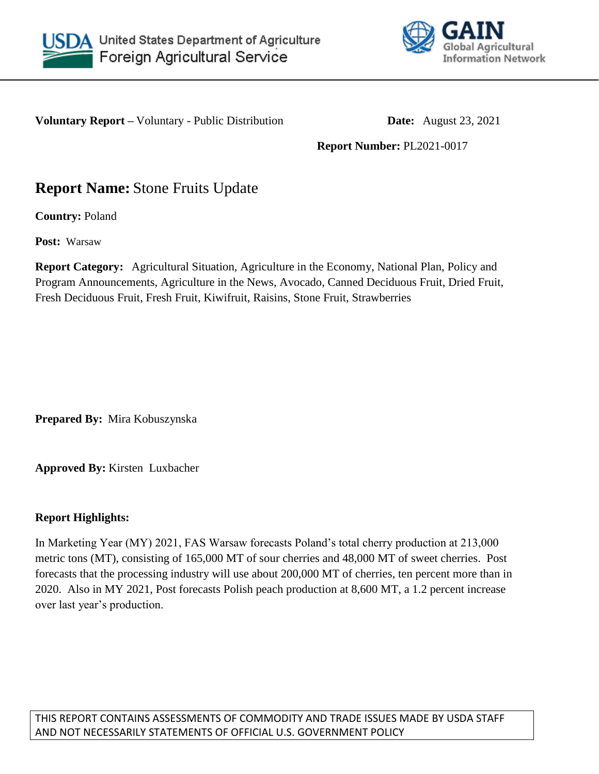



**Voluntary Report –** Voluntary - Public Distribution **Date:** August 23, 2021

**Report Number:** PL2021-0017

# **Report Name:** Stone Fruits Update

**Country:** Poland

**Post:** Warsaw

**Report Category:** Agricultural Situation, Agriculture in the Economy, National Plan, Policy and Program Announcements, Agriculture in the News, Avocado, Canned Deciduous Fruit, Dried Fruit, Fresh Deciduous Fruit, Fresh Fruit, Kiwifruit, Raisins, Stone Fruit, Strawberries

**Prepared By:** Mira Kobuszynska

**Approved By:** Kirsten Luxbacher

## **Report Highlights:**

In Marketing Year (MY) 2021, FAS Warsaw forecasts Poland's total cherry production at 213,000 metric tons (MT), consisting of 165,000 MT of sour cherries and 48,000 MT of sweet cherries. Post forecasts that the processing industry will use about 200,000 MT of cherries, ten percent more than in 2020. Also in MY 2021, Post forecasts Polish peach production at 8,600 MT, a 1.2 percent increase over last year's production.

THIS REPORT CONTAINS ASSESSMENTS OF COMMODITY AND TRADE ISSUES MADE BY USDA STAFF AND NOT NECESSARILY STATEMENTS OF OFFICIAL U.S. GOVERNMENT POLICY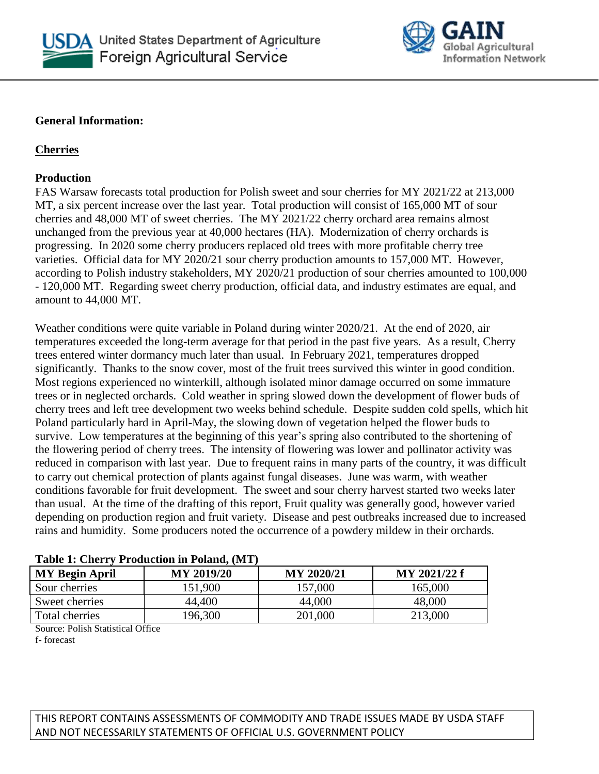



#### **General Information:**

## **Cherries**

## **Production**

FAS Warsaw forecasts total production for Polish sweet and sour cherries for MY 2021/22 at 213,000 MT, a six percent increase over the last year. Total production will consist of 165,000 MT of sour cherries and 48,000 MT of sweet cherries. The MY 2021/22 cherry orchard area remains almost unchanged from the previous year at 40,000 hectares (HA). Modernization of cherry orchards is progressing. In 2020 some cherry producers replaced old trees with more profitable cherry tree varieties. Official data for MY 2020/21 sour cherry production amounts to 157,000 MT. However, according to Polish industry stakeholders, MY 2020/21 production of sour cherries amounted to 100,000 - 120,000 MT. Regarding sweet cherry production, official data, and industry estimates are equal, and amount to 44,000 MT.

Weather conditions were quite variable in Poland during winter 2020/21. At the end of 2020, air temperatures exceeded the long-term average for that period in the past five years. As a result, Cherry trees entered winter dormancy much later than usual. In February 2021, temperatures dropped significantly. Thanks to the snow cover, most of the fruit trees survived this winter in good condition. Most regions experienced no winterkill, although isolated minor damage occurred on some immature trees or in neglected orchards. Cold weather in spring slowed down the development of flower buds of cherry trees and left tree development two weeks behind schedule. Despite sudden cold spells, which hit Poland particularly hard in April-May, the slowing down of vegetation helped the flower buds to survive. Low temperatures at the beginning of this year's spring also contributed to the shortening of the flowering period of cherry trees. The intensity of flowering was lower and pollinator activity was reduced in comparison with last year. Due to frequent rains in many parts of the country, it was difficult to carry out chemical protection of plants against fungal diseases. June was warm, with weather conditions favorable for fruit development. The sweet and sour cherry harvest started two weeks later than usual. At the time of the drafting of this report, Fruit quality was generally good, however varied depending on production region and fruit variety. Disease and pest outbreaks increased due to increased rains and humidity. Some producers noted the occurrence of a powdery mildew in their orchards.

| AWMAY AT CANALAT A LOWMUNION AN A VAWANT ILIA A |                   |            |              |
|-------------------------------------------------|-------------------|------------|--------------|
| <b>MY Begin April</b>                           | <b>MY 2019/20</b> | MY 2020/21 | MY 2021/22 f |
| Sour cherries                                   | 151,900           | 157,000    | 165,000      |
| Sweet cherries                                  | 44.400            | 44,000     | 48,000       |
| Total cherries                                  | 196,300           | 201,000    | 213,000      |

## **Table 1: Cherry Production in Poland, (MT)**

Source: Polish Statistical Office

f- forecast

## THIS REPORT CONTAINS ASSESSMENTS OF COMMODITY AND TRADE ISSUES MADE BY USDA STAFF AND NOT NECESSARILY STATEMENTS OF OFFICIAL U.S. GOVERNMENT POLICY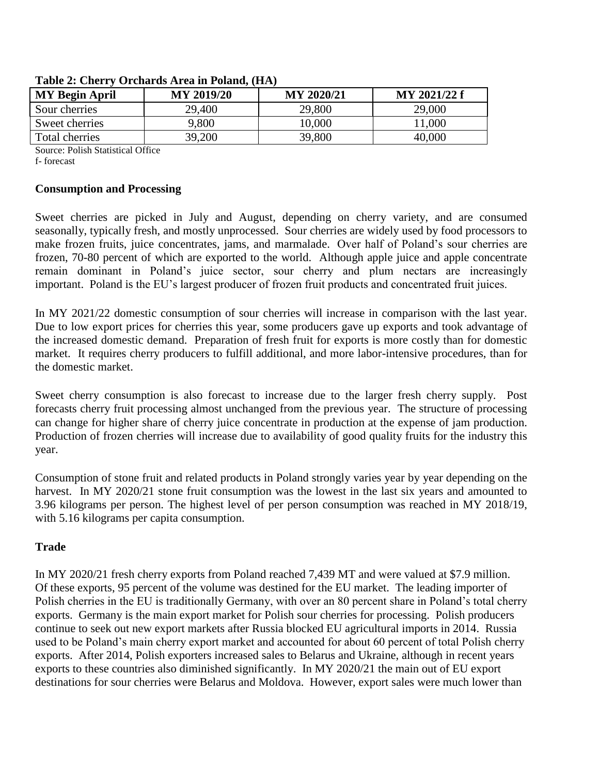| <b>MY Begin April</b> | <b>MY 2019/20</b> | <b>MY 2020/21</b> | MY 2021/22 f |
|-----------------------|-------------------|-------------------|--------------|
| Sour cherries         | 29,400            | 29,800            | 29,000       |
| Sweet cherries        | 9,800             | 10,000            | 11,000       |
| Total cherries        | 39,200            | 39,800            | 40,000       |

#### **Table 2: Cherry Orchards Area in Poland, (HA)**

Source: Polish Statistical Office

f- forecast

#### **Consumption and Processing**

Sweet cherries are picked in July and August, depending on cherry variety, and are consumed seasonally, typically fresh, and mostly unprocessed. Sour cherries are widely used by food processors to make frozen fruits, juice concentrates, jams, and marmalade. Over half of Poland's sour cherries are frozen, 70-80 percent of which are exported to the world. Although apple juice and apple concentrate remain dominant in Poland's juice sector, sour cherry and plum nectars are increasingly important. Poland is the EU's largest producer of frozen fruit products and concentrated fruit juices.

In MY 2021/22 domestic consumption of sour cherries will increase in comparison with the last year. Due to low export prices for cherries this year, some producers gave up exports and took advantage of the increased domestic demand. Preparation of fresh fruit for exports is more costly than for domestic market. It requires cherry producers to fulfill additional, and more labor-intensive procedures, than for the domestic market.

Sweet cherry consumption is also forecast to increase due to the larger fresh cherry supply. Post forecasts cherry fruit processing almost unchanged from the previous year. The structure of processing can change for higher share of cherry juice concentrate in production at the expense of jam production. Production of frozen cherries will increase due to availability of good quality fruits for the industry this year.

Consumption of stone fruit and related products in Poland strongly varies year by year depending on the harvest. In MY 2020/21 stone fruit consumption was the lowest in the last six years and amounted to 3.96 kilograms per person. The highest level of per person consumption was reached in MY 2018/19, with 5.16 kilograms per capita consumption.

## **Trade**

In MY 2020/21 fresh cherry exports from Poland reached 7,439 MT and were valued at \$7.9 million. Of these exports, 95 percent of the volume was destined for the EU market. The leading importer of Polish cherries in the EU is traditionally Germany, with over an 80 percent share in Poland's total cherry exports. Germany is the main export market for Polish sour cherries for processing. Polish producers continue to seek out new export markets after Russia blocked EU agricultural imports in 2014. Russia used to be Poland's main cherry export market and accounted for about 60 percent of total Polish cherry exports. After 2014, Polish exporters increased sales to Belarus and Ukraine, although in recent years exports to these countries also diminished significantly. In MY 2020/21 the main out of EU export destinations for sour cherries were Belarus and Moldova. However, export sales were much lower than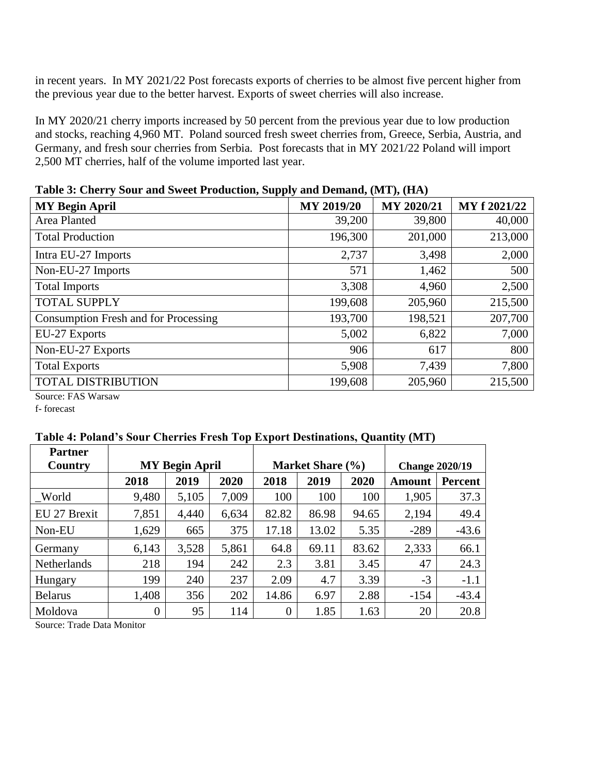in recent years. In MY 2021/22 Post forecasts exports of cherries to be almost five percent higher from the previous year due to the better harvest. Exports of sweet cherries will also increase.

In MY 2020/21 cherry imports increased by 50 percent from the previous year due to low production and stocks, reaching 4,960 MT. Poland sourced fresh sweet cherries from, Greece, Serbia, Austria, and Germany, and fresh sour cherries from Serbia. Post forecasts that in MY 2021/22 Poland will import 2,500 MT cherries, half of the volume imported last year.

| --, - - - - - - - -                         |            |            |              |
|---------------------------------------------|------------|------------|--------------|
| <b>MY Begin April</b>                       | MY 2019/20 | MY 2020/21 | MY f 2021/22 |
| Area Planted                                | 39,200     | 39,800     | 40,000       |
| <b>Total Production</b>                     | 196,300    | 201,000    | 213,000      |
| Intra EU-27 Imports                         | 2,737      | 3,498      | 2,000        |
| Non-EU-27 Imports                           | 571        | 1,462      | 500          |
| <b>Total Imports</b>                        | 3,308      | 4,960      | 2,500        |
| <b>TOTAL SUPPLY</b>                         | 199,608    | 205,960    | 215,500      |
| <b>Consumption Fresh and for Processing</b> | 193,700    | 198,521    | 207,700      |
| EU-27 Exports                               | 5,002      | 6,822      | 7,000        |
| Non-EU-27 Exports                           | 906        | 617        | 800          |
| <b>Total Exports</b>                        | 5,908      | 7,439      | 7,800        |
| <b>TOTAL DISTRIBUTION</b>                   | 199,608    | 205,960    | 215,500      |
|                                             |            |            |              |

**Table 3: Cherry Sour and Sweet Production, Supply and Demand, (MT), (HA)**

Source: FAS Warsaw

f- forecast

## **Table 4: Poland's Sour Cherries Fresh Top Export Destinations, Quantity (MT)**

| <b>Partner</b> |                       |       |       |                |                  |                       |               |                |
|----------------|-----------------------|-------|-------|----------------|------------------|-----------------------|---------------|----------------|
| Country        | <b>MY Begin April</b> |       |       |                | Market Share (%) | <b>Change 2020/19</b> |               |                |
|                | 2018                  | 2019  | 2020  | 2018           | 2019             | 2020                  | <b>Amount</b> | <b>Percent</b> |
| World          | 9,480                 | 5,105 | 7,009 | 100            | 100              | 100                   | 1,905         | 37.3           |
| EU 27 Brexit   | 7,851                 | 4,440 | 6,634 | 82.82          | 86.98            | 94.65                 | 2,194         | 49.4           |
| Non-EU         | 1,629                 | 665   | 375   | 17.18          | 13.02            | 5.35                  | $-289$        | $-43.6$        |
| Germany        | 6,143                 | 3,528 | 5,861 | 64.8           | 69.11            | 83.62                 | 2,333         | 66.1           |
| Netherlands    | 218                   | 194   | 242   | 2.3            | 3.81             | 3.45                  | 47            | 24.3           |
| Hungary        | 199                   | 240   | 237   | 2.09           | 4.7              | 3.39                  | $-3$          | $-1.1$         |
| <b>Belarus</b> | 1,408                 | 356   | 202   | 14.86          | 6.97             | 2.88                  | $-154$        | $-43.4$        |
| Moldova        | $\theta$              | 95    | 114   | $\overline{0}$ | 1.85             | 1.63                  | 20            | 20.8           |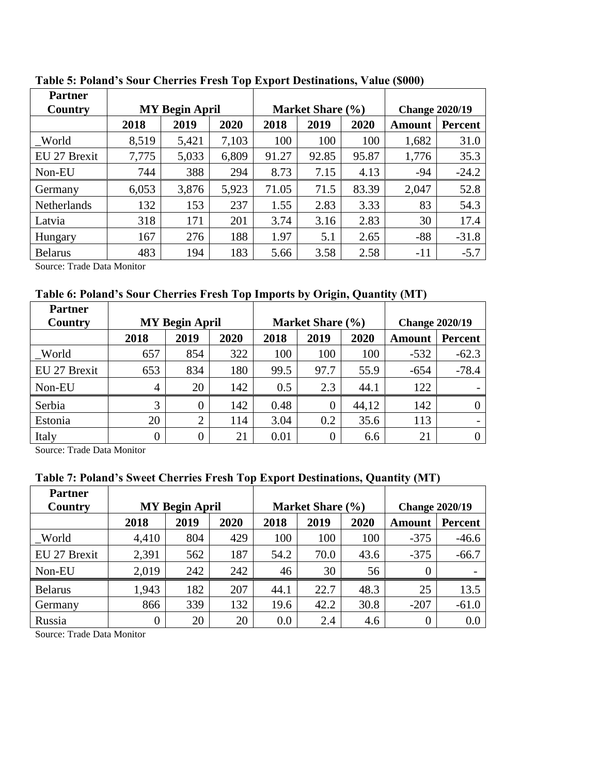| <b>Partner</b>     |                       |       |       |       |                  |                       |               |         |
|--------------------|-----------------------|-------|-------|-------|------------------|-----------------------|---------------|---------|
| Country            | <b>MY Begin April</b> |       |       |       | Market Share (%) | <b>Change 2020/19</b> |               |         |
|                    | 2018                  | 2019  | 2020  | 2018  | 2019             | 2020                  | <b>Amount</b> | Percent |
| World              | 8,519                 | 5,421 | 7,103 | 100   | 100              | 100                   | 1,682         | 31.0    |
| EU 27 Brexit       | 7,775                 | 5,033 | 6,809 | 91.27 | 92.85            | 95.87                 | 1,776         | 35.3    |
| Non-EU             | 744                   | 388   | 294   | 8.73  | 7.15             | 4.13                  | $-94$         | $-24.2$ |
| Germany            | 6,053                 | 3,876 | 5,923 | 71.05 | 71.5             | 83.39                 | 2,047         | 52.8    |
| <b>Netherlands</b> | 132                   | 153   | 237   | 1.55  | 2.83             | 3.33                  | 83            | 54.3    |
| Latvia             | 318                   | 171   | 201   | 3.74  | 3.16             | 2.83                  | 30            | 17.4    |
| Hungary            | 167                   | 276   | 188   | 1.97  | 5.1              | 2.65                  | $-88$         | $-31.8$ |
| <b>Belarus</b>     | 483                   | 194   | 183   | 5.66  | 3.58             | 2.58                  | $-11$         | $-5.7$  |
|                    |                       |       |       |       |                  |                       |               |         |

**Table 5: Poland's Sour Cherries Fresh Top Export Destinations, Value (\$000)**

Source: Trade Data Monitor

**Table 6: Poland's Sour Cherries Fresh Top Imports by Origin, Quantity (MT)**

| <b>Partner</b> |                       |                |      |      |                  |       |                       |                |
|----------------|-----------------------|----------------|------|------|------------------|-------|-----------------------|----------------|
| Country        | <b>MY Begin April</b> |                |      |      | Market Share (%) |       | <b>Change 2020/19</b> |                |
|                | 2018                  | 2019           | 2020 | 2018 | 2019             | 2020  | <b>Amount</b>         | <b>Percent</b> |
| World          | 657                   | 854            | 322  | 100  | 100              | 100   | $-532$                | $-62.3$        |
| EU 27 Brexit   | 653                   | 834            | 180  | 99.5 | 97.7             | 55.9  | $-654$                | $-78.4$        |
| Non-EU         | 4                     | 20             | 142  | 0.5  | 2.3              | 44.1  | 122                   |                |
| Serbia         | 3                     | 0              | 142  | 0.48 | 0                | 44,12 | 142                   |                |
| Estonia        | 20                    | 2              | 114  | 3.04 | 0.2              | 35.6  | 113                   |                |
| Italy          | $\overline{0}$        | $\overline{0}$ | 21   | 0.01 | 0                | 6.6   | 21                    |                |

Source: Trade Data Monitor

## **Table 7: Poland's Sweet Cherries Fresh Top Export Destinations, Quantity (MT)**

| <b>Partner</b> |                       |      |      |      |                  |                       |          |                |
|----------------|-----------------------|------|------|------|------------------|-----------------------|----------|----------------|
| Country        | <b>MY Begin April</b> |      |      |      | Market Share (%) | <b>Change 2020/19</b> |          |                |
|                | 2018                  | 2019 | 2020 | 2018 | 2019             | 2020                  | Amount   | <b>Percent</b> |
| World          | 4,410                 | 804  | 429  | 100  | 100              | 100                   | $-375$   | $-46.6$        |
| EU 27 Brexit   | 2,391                 | 562  | 187  | 54.2 | 70.0             | 43.6                  | $-375$   | $-66.7$        |
| Non-EU         | 2,019                 | 242  | 242  | 46   | 30               | 56                    | $\theta$ |                |
| <b>Belarus</b> | 1,943                 | 182  | 207  | 44.1 | 22.7             | 48.3                  | 25       | 13.5           |
| Germany        | 866                   | 339  | 132  | 19.6 | 42.2             | 30.8                  | $-207$   | $-61.0$        |
| Russia         | $\overline{0}$        | 20   | 20   | 0.0  | 2.4              | 4.6                   | $\theta$ | 0.0            |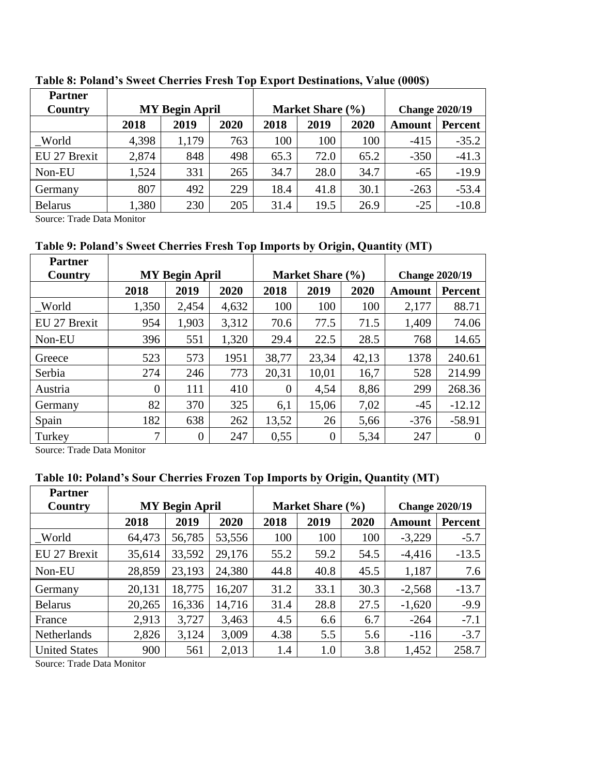| <b>Partner</b> |                       |       |      |      |                  |                       |               |                |
|----------------|-----------------------|-------|------|------|------------------|-----------------------|---------------|----------------|
| Country        | <b>MY Begin April</b> |       |      |      | Market Share (%) | <b>Change 2020/19</b> |               |                |
|                | 2018                  | 2019  | 2020 | 2018 | 2019             | 2020                  | <b>Amount</b> | <b>Percent</b> |
| World          | 4,398                 | 1,179 | 763  | 100  | 100              | 100                   | $-415$        | $-35.2$        |
| EU 27 Brexit   | 2,874                 | 848   | 498  | 65.3 | 72.0             | 65.2                  | $-350$        | $-41.3$        |
| Non-EU         | 1,524                 | 331   | 265  | 34.7 | 28.0             | 34.7                  | $-65$         | $-19.9$        |
| Germany        | 807                   | 492   | 229  | 18.4 | 41.8             | 30.1                  | $-263$        | $-53.4$        |
| <b>Belarus</b> | ,380                  | 230   | 205  | 31.4 | 19.5             | 26.9                  | $-25$         | $-10.8$        |

#### **Table 8: Poland's Sweet Cherries Fresh Top Export Destinations, Value (000\$)**

Source: Trade Data Monitor

## **Table 9: Poland's Sweet Cherries Fresh Top Imports by Origin, Quantity (MT)**

| <b>Partner</b> |                       |          |       |                  |          |       |                       |                |
|----------------|-----------------------|----------|-------|------------------|----------|-------|-----------------------|----------------|
| Country        | <b>MY Begin April</b> |          |       | Market Share (%) |          |       | <b>Change 2020/19</b> |                |
|                | 2018                  | 2019     | 2020  | 2018             | 2019     | 2020  | <b>Amount</b>         | <b>Percent</b> |
| World          | 1,350                 | 2,454    | 4,632 | 100              | 100      | 100   | 2,177                 | 88.71          |
| EU 27 Brexit   | 954                   | 1,903    | 3.312 | 70.6             | 77.5     | 71.5  | 1,409                 | 74.06          |
| Non-EU         | 396                   | 551      | 1,320 | 29.4             | 22.5     | 28.5  | 768                   | 14.65          |
| Greece         | 523                   | 573      | 1951  | 38,77            | 23,34    | 42,13 | 1378                  | 240.61         |
| Serbia         | 274                   | 246      | 773   | 20,31            | 10,01    | 16,7  | 528                   | 214.99         |
| Austria        | $\overline{0}$        | 111      | 410   | $\overline{0}$   | 4,54     | 8,86  | 299                   | 268.36         |
| Germany        | 82                    | 370      | 325   | 6,1              | 15,06    | 7,02  | $-45$                 | $-12.12$       |
| Spain          | 182                   | 638      | 262   | 13,52            | 26       | 5,66  | $-376$                | $-58.91$       |
| Turkey         | 7                     | $\Omega$ | 247   | 0,55             | $\theta$ | 5,34  | 247                   | $\overline{0}$ |

Source: Trade Data Monitor

## **Table 10: Poland's Sour Cherries Frozen Top Imports by Origin, Quantity (MT)**

| <b>Partner</b>       |                       |        |        |      |                  |                       |          |         |
|----------------------|-----------------------|--------|--------|------|------------------|-----------------------|----------|---------|
| Country              | <b>MY Begin April</b> |        |        |      | Market Share (%) | <b>Change 2020/19</b> |          |         |
|                      | 2018                  | 2019   | 2020   | 2018 | 2019             | 2020                  | Amount   | Percent |
| World                | 64,473                | 56,785 | 53,556 | 100  | 100              | 100                   | $-3,229$ | $-5.7$  |
| EU 27 Brexit         | 35,614                | 33,592 | 29,176 | 55.2 | 59.2             | 54.5                  | $-4,416$ | $-13.5$ |
| Non-EU               | 28,859                | 23,193 | 24,380 | 44.8 | 40.8             | 45.5                  | 1,187    | 7.6     |
| Germany              | 20,131                | 18,775 | 16,207 | 31.2 | 33.1             | 30.3                  | $-2,568$ | $-13.7$ |
| <b>Belarus</b>       | 20,265                | 16,336 | 14,716 | 31.4 | 28.8             | 27.5                  | $-1,620$ | $-9.9$  |
| France               | 2,913                 | 3,727  | 3,463  | 4.5  | 6.6              | 6.7                   | $-264$   | $-7.1$  |
| <b>Netherlands</b>   | 2,826                 | 3,124  | 3,009  | 4.38 | 5.5              | 5.6                   | $-116$   | $-3.7$  |
| <b>United States</b> | 900                   | 561    | 2,013  | 1.4  | 1.0              | 3.8                   | 1,452    | 258.7   |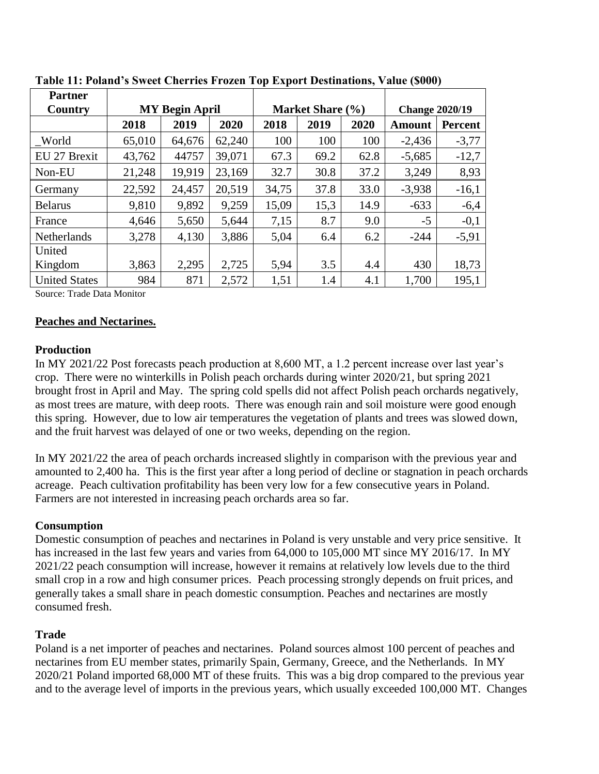| <b>Partner</b>        |                       |        |        |                  |      |      |                       |                |
|-----------------------|-----------------------|--------|--------|------------------|------|------|-----------------------|----------------|
| Country               | <b>MY Begin April</b> |        |        | Market Share (%) |      |      | <b>Change 2020/19</b> |                |
|                       | 2018                  | 2019   | 2020   | 2018             | 2019 | 2020 | <b>Amount</b>         | <b>Percent</b> |
| $\sqrt{\frac{1}{10}}$ | 65,010                | 64,676 | 62,240 | 100              | 100  | 100  | $-2,436$              | $-3,77$        |
| EU 27 Brexit          | 43,762                | 44757  | 39,071 | 67.3             | 69.2 | 62.8 | $-5,685$              | $-12,7$        |
| Non-EU                | 21,248                | 19,919 | 23,169 | 32.7             | 30.8 | 37.2 | 3,249                 | 8,93           |
| Germany               | 22,592                | 24,457 | 20,519 | 34,75            | 37.8 | 33.0 | $-3,938$              | $-16,1$        |
| <b>Belarus</b>        | 9,810                 | 9,892  | 9,259  | 15,09            | 15,3 | 14.9 | $-633$                | $-6,4$         |
| France                | 4,646                 | 5,650  | 5,644  | 7,15             | 8.7  | 9.0  | $-5$                  | $-0,1$         |
| Netherlands           | 3,278                 | 4,130  | 3,886  | 5,04             | 6.4  | 6.2  | $-244$                | $-5,91$        |
| United                |                       |        |        |                  |      |      |                       |                |
| Kingdom               | 3,863                 | 2,295  | 2,725  | 5,94             | 3.5  | 4.4  | 430                   | 18,73          |
| <b>United States</b>  | 984                   | 871    | 2,572  | 1,51             | 1.4  | 4.1  | 1,700                 | 195,1          |

**Table 11: Poland's Sweet Cherries Frozen Top Export Destinations, Value (\$000)**

Source: Trade Data Monitor

#### **Peaches and Nectarines.**

#### **Production**

In MY 2021/22 Post forecasts peach production at 8,600 MT, a 1.2 percent increase over last year's crop. There were no winterkills in Polish peach orchards during winter 2020/21, but spring 2021 brought frost in April and May. The spring cold spells did not affect Polish peach orchards negatively, as most trees are mature, with deep roots. There was enough rain and soil moisture were good enough this spring. However, due to low air temperatures the vegetation of plants and trees was slowed down, and the fruit harvest was delayed of one or two weeks, depending on the region.

In MY 2021/22 the area of peach orchards increased slightly in comparison with the previous year and amounted to 2,400 ha. This is the first year after a long period of decline or stagnation in peach orchards acreage. Peach cultivation profitability has been very low for a few consecutive years in Poland. Farmers are not interested in increasing peach orchards area so far.

#### **Consumption**

Domestic consumption of peaches and nectarines in Poland is very unstable and very price sensitive. It has increased in the last few years and varies from 64,000 to 105,000 MT since MY 2016/17. In MY 2021/22 peach consumption will increase, however it remains at relatively low levels due to the third small crop in a row and high consumer prices. Peach processing strongly depends on fruit prices, and generally takes a small share in peach domestic consumption. Peaches and nectarines are mostly consumed fresh.

#### **Trade**

Poland is a net importer of peaches and nectarines. Poland sources almost 100 percent of peaches and nectarines from EU member states, primarily Spain, Germany, Greece, and the Netherlands. In MY 2020/21 Poland imported 68,000 MT of these fruits. This was a big drop compared to the previous year and to the average level of imports in the previous years, which usually exceeded 100,000 MT. Changes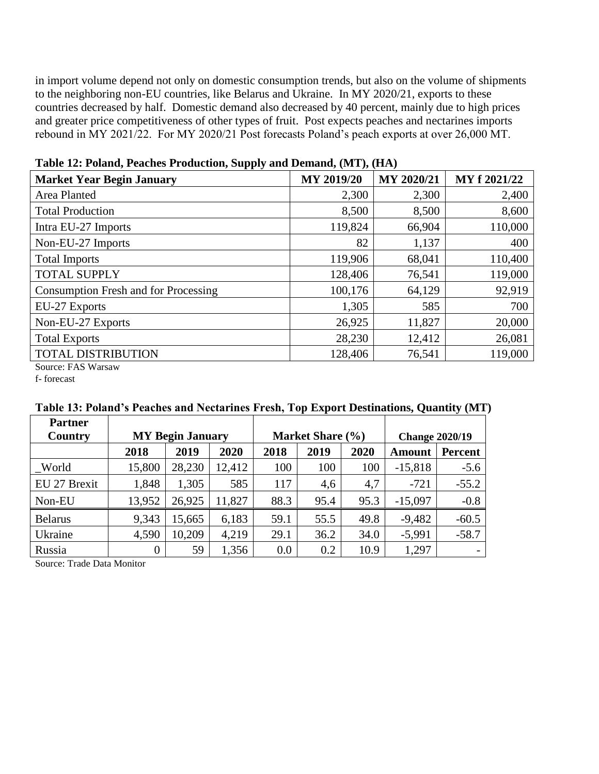in import volume depend not only on domestic consumption trends, but also on the volume of shipments to the neighboring non-EU countries, like Belarus and Ukraine. In MY 2020/21, exports to these countries decreased by half. Domestic demand also decreased by 40 percent, mainly due to high prices and greater price competitiveness of other types of fruit. Post expects peaches and nectarines imports rebound in MY 2021/22. For MY 2020/21 Post forecasts Poland's peach exports at over 26,000 MT.

| <b>Market Year Begin January</b>            | <b>MY 2019/20</b> | MY 2020/21 | MY f 2021/22 |
|---------------------------------------------|-------------------|------------|--------------|
| Area Planted                                | 2,300             | 2,300      | 2,400        |
| <b>Total Production</b>                     | 8,500             | 8,500      | 8,600        |
| Intra EU-27 Imports                         | 119,824           | 66,904     | 110,000      |
| Non-EU-27 Imports                           | 82                | 1,137      | 400          |
| <b>Total Imports</b>                        | 119,906           | 68,041     | 110,400      |
| <b>TOTAL SUPPLY</b>                         | 128,406           | 76,541     | 119,000      |
| <b>Consumption Fresh and for Processing</b> | 100,176           | 64,129     | 92,919       |
| EU-27 Exports                               | 1,305             | 585        | 700          |
| Non-EU-27 Exports                           | 26,925            | 11,827     | 20,000       |
| <b>Total Exports</b>                        | 28,230            | 12,412     | 26,081       |
| <b>TOTAL DISTRIBUTION</b>                   | 128,406           | 76,541     | 119,000      |
| Source: FAS Warsaw                          |                   |            |              |

**Table 12: Poland, Peaches Production, Supply and Demand, (MT), (HA)**

f- forecast

| <b>Partner</b> |                         |        |        |                  |      |      |                       |                          |
|----------------|-------------------------|--------|--------|------------------|------|------|-----------------------|--------------------------|
| Country        | <b>MY Begin January</b> |        |        | Market Share (%) |      |      | <b>Change 2020/19</b> |                          |
|                | 2018                    | 2019   | 2020   | 2018             | 2019 | 2020 | Amount                | Percent                  |
| World          | 15,800                  | 28,230 | 12,412 | 100              | 100  | 100  | $-15,818$             | $-5.6$                   |
| EU 27 Brexit   | 1,848                   | 1,305  | 585    | 117              | 4,6  | 4,7  | $-721$                | $-55.2$                  |
| Non-EU         | 13,952                  | 26,925 | 11,827 | 88.3             | 95.4 | 95.3 | $-15,097$             | $-0.8$                   |
| <b>Belarus</b> | 9,343                   | 15,665 | 6,183  | 59.1             | 55.5 | 49.8 | $-9,482$              | $-60.5$                  |
| Ukraine        | 4,590                   | 10,209 | 4,219  | 29.1             | 36.2 | 34.0 | $-5,991$              | $-58.7$                  |
| Russia         | $\boldsymbol{0}$        | 59     | 1,356  | 0.0              | 0.2  | 10.9 | 1,297                 | $\overline{\phantom{0}}$ |

## **Table 13: Poland's Peaches and Nectarines Fresh, Top Export Destinations, Quantity (MT)**